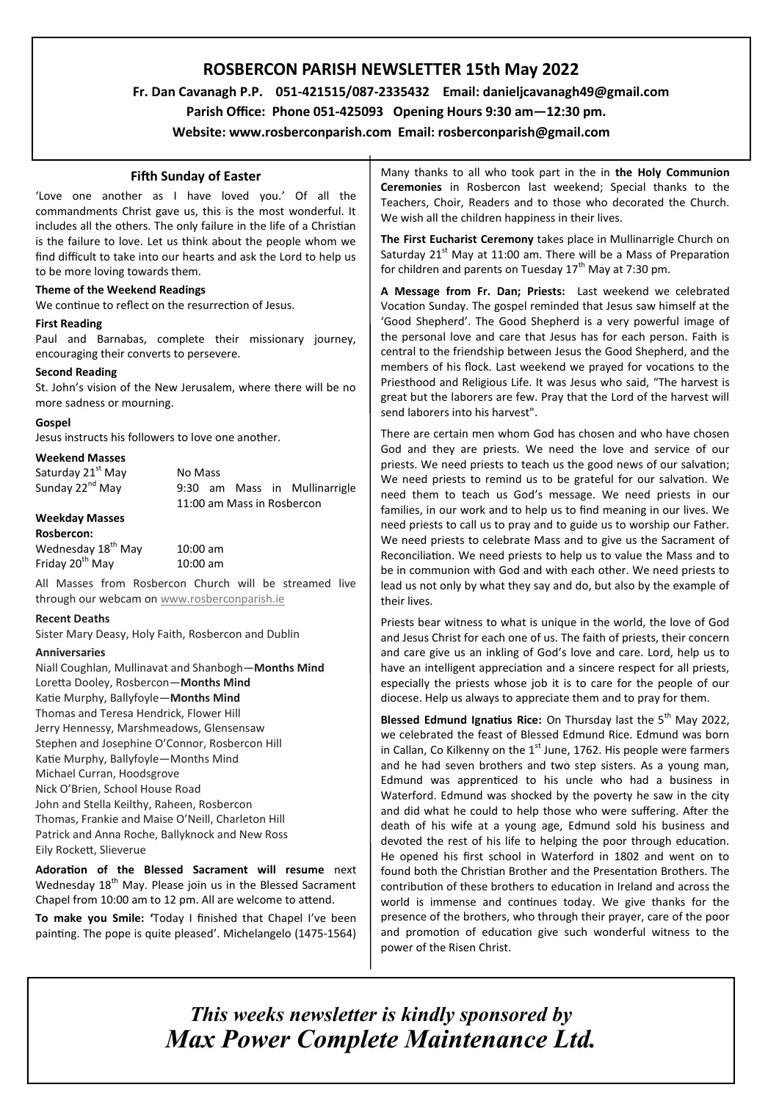# **ROSBERCON PARISH NEWSLETTER 15th May 2022**

 **Fr. Dan Cavanagh P.P. 051-421515/087-2335432 Email: danieljcavanagh49@gmail.com**

 **Parish Office: Phone 051-425093****Opening Hours 9:30 am—12:30 pm.**

**Website: www.rosberconparish.com Email: rosberconparish@gmail.com**

# **Fifth Sunday of Easter**

'Love one another as I have loved you.' Of all the commandments Christ gave us, this is the most wonderful. It includes all the others. The only failure in the life of a Christian is the failure to love. Let us think about the people whom we find difficult to take into our hearts and ask the Lord to help us to be more loving towards them.

## **Theme of the Weekend Readings**

We continue to reflect on the resurrection of Jesus.

## **First Reading**

Paul and Barnabas, complete their missionary journey, encouraging their converts to persevere.

# **Second Reading**

St. John's vision of the New Jerusalem, where there will be no more sadness or mourning.

# **Gospel**

Jesus instructs his followers to love one another.

## **Weekend Masses**

| Saturday 21 <sup>st</sup> May | No Mass                       |
|-------------------------------|-------------------------------|
| Sunday 22 <sup>nd</sup> May   | 9:30 am Mass in Mullinarrigle |
|                               | 11:00 am Mass in Rosbercon    |
| <b>Weekday Masses</b>         |                               |

# **Rosbercon:**

| Rospercon:                     |            |
|--------------------------------|------------|
| Wednesday 18 <sup>th</sup> May | $10:00$ am |
| Friday 20 <sup>th</sup> May    | $10:00$ am |

All Masses from Rosbercon Church will be streamed live through our webcam on [www.rosberconparish.ie](http://www.rosberconparish.ie/)

#### **Recent Deaths**

Sister Mary Deasy, Holy Faith, Rosbercon and Dublin

# **Anniversaries**

Niall Coughlan, Mullinavat and Shanbogh—**Months Mind** Loretta Dooley, Rosbercon—**Months Mind** Katie Murphy, Ballyfoyle—**Months Mind** Thomas and Teresa Hendrick, Flower Hill Jerry Hennessy, Marshmeadows, Glensensaw Stephen and Josephine O'Connor, Rosbercon Hill Katie Murphy, Ballyfoyle—Months Mind Michael Curran, Hoodsgrove Nick O'Brien, School House Road John and Stella Keilthy, Raheen, Rosbercon Thomas, Frankie and Maise O'Neill, Charleton Hill Patrick and Anna Roche, Ballyknock and New Ross Eily Rockett, Slieverue

**Adoration of the Blessed Sacrament will resume** next Wednesday 18<sup>th</sup> May. Please join us in the Blessed Sacrament Chapel from 10:00 am to 12 pm. All are welcome to attend.

**To make you Smile: '**Today I finished that Chapel I've been painting. The pope is quite pleased'. Michelangelo (1475-1564)

Many thanks to all who took part in the in **the Holy Communion Ceremonies** in Rosbercon last weekend; Special thanks to the Teachers, Choir, Readers and to those who decorated the Church. We wish all the children happiness in their lives.

**The First Eucharist Ceremony** takes place in Mullinarrigle Church on Saturday  $21<sup>st</sup>$  May at 11:00 am. There will be a Mass of Preparation for children and parents on Tuesday  $17<sup>th</sup>$  May at 7:30 pm.

**A Message from Fr. Dan; Priests:** Last weekend we celebrated Vocation Sunday. The gospel reminded that Jesus saw himself at the 'Good Shepherd'. The Good Shepherd is a very powerful image of the personal love and care that Jesus has for each person. Faith is central to the friendship between Jesus the Good Shepherd, and the members of his flock. Last weekend we prayed for vocations to the Priesthood and Religious Life. It was Jesus who said, "The harvest is great but the laborers are few. Pray that the Lord of the harvest will send laborers into his harvest".

There are certain men whom God has chosen and who have chosen God and they are priests. We need the love and service of our priests. We need priests to teach us the good news of our salvation; We need priests to remind us to be grateful for our salvation. We need them to teach us God's message. We need priests in our families, in our work and to help us to find meaning in our lives. We need priests to call us to pray and to guide us to worship our Father. We need priests to celebrate Mass and to give us the Sacrament of Reconciliation. We need priests to help us to value the Mass and to be in communion with God and with each other. We need priests to lead us not only by what they say and do, but also by the example of their lives.

Priests bear witness to what is unique in the world, the love of God and Jesus Christ for each one of us. The faith of priests, their concern and care give us an inkling of God's love and care. Lord, help us to have an intelligent appreciation and a sincere respect for all priests, especially the priests whose job it is to care for the people of our diocese. Help us always to appreciate them and to pray for them.

**Blessed Edmund Ignatius Rice:** On Thursday last the 5<sup>th</sup> May 2022, we celebrated the feast of Blessed Edmund Rice. Edmund was born in Callan, Co Kilkenny on the  $1<sup>st</sup>$  June, 1762. His people were farmers and he had seven brothers and two step sisters. As a young man, Edmund was apprenticed to his uncle who had a business in Waterford. Edmund was shocked by the poverty he saw in the city and did what he could to help those who were suffering. After the death of his wife at a young age, Edmund sold his business and devoted the rest of his life to helping the poor through education. He opened his first school in Waterford in 1802 and went on to found both the Christian Brother and the Presentation Brothers. The contribution of these brothers to education in Ireland and across the world is immense and continues today. We give thanks for the presence of the brothers, who through their prayer, care of the poor and promotion of education give such wonderful witness to the power of the Risen Christ.

*This weeks newsletter is kindly sponsored by Max Power Complete Maintenance Ltd.*